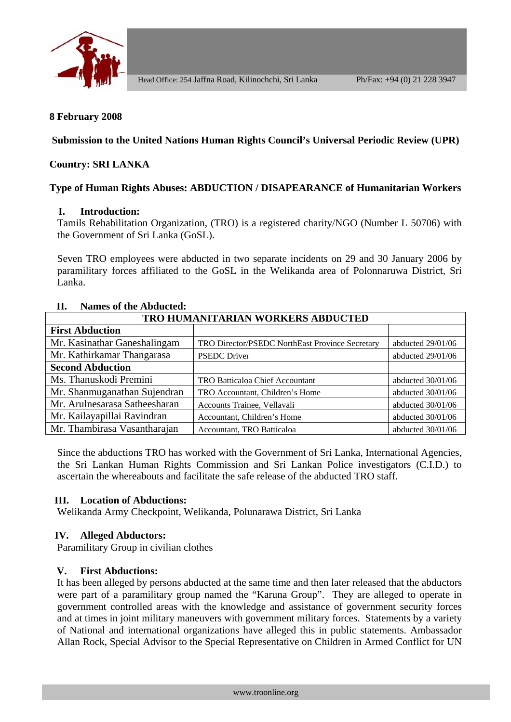

# **8 February 2008**

**Submission to the United Nations Human Rights Council's Universal Periodic Review (UPR)** 

# **Country: SRI LANKA**

### **Type of Human Rights Abuses: ABDUCTION / DISAPEARANCE of Humanitarian Workers**

### **I. Introduction:**

Tamils Rehabilitation Organization, (TRO) is a registered charity/NGO (Number L 50706) with the Government of Sri Lanka (GoSL).

Seven TRO employees were abducted in two separate incidents on 29 and 30 January 2006 by paramilitary forces affiliated to the GoSL in the Welikanda area of Polonnaruwa District, Sri Lanka.

| TRO HUMANITARIAN WORKERS ABDUCTED |                                                 |                     |
|-----------------------------------|-------------------------------------------------|---------------------|
| <b>First Abduction</b>            |                                                 |                     |
| Mr. Kasinathar Ganeshalingam      | TRO Director/PSEDC NorthEast Province Secretary | abducted 29/01/06   |
| Mr. Kathirkamar Thangarasa        | <b>PSEDC</b> Driver                             | abducted 29/01/06   |
| <b>Second Abduction</b>           |                                                 |                     |
| Ms. Thanuskodi Premini            | <b>TRO Batticaloa Chief Accountant</b>          | abducted $30/01/06$ |
| Mr. Shanmuganathan Sujendran      | TRO Accountant, Children's Home                 | abducted 30/01/06   |
| Mr. Arulnesarasa Satheesharan     | Accounts Trainee, Vellavali                     | abducted 30/01/06   |
| Mr. Kailayapillai Ravindran       | Accountant, Children's Home                     | abducted 30/01/06   |
| Mr. Thambirasa Vasantharajan      | Accountant, TRO Batticaloa                      | abducted $30/01/06$ |

### **II. Names of the Abducted:**

Since the abductions TRO has worked with the Government of Sri Lanka, International Agencies, the Sri Lankan Human Rights Commission and Sri Lankan Police investigators (C.I.D.) to ascertain the whereabouts and facilitate the safe release of the abducted TRO staff.

#### **III. Location of Abductions:**

Welikanda Army Checkpoint, Welikanda, Polunarawa District, Sri Lanka

#### **IV. Alleged Abductors:**

Paramilitary Group in civilian clothes

#### **V. First Abductions:**

It has been alleged by persons abducted at the same time and then later released that the abductors were part of a paramilitary group named the "Karuna Group". They are alleged to operate in government controlled areas with the knowledge and assistance of government security forces and at times in joint military maneuvers with government military forces. Statements by a variety of National and international organizations have alleged this in public statements. Ambassador Allan Rock, Special Advisor to the Special Representative on Children in Armed Conflict for UN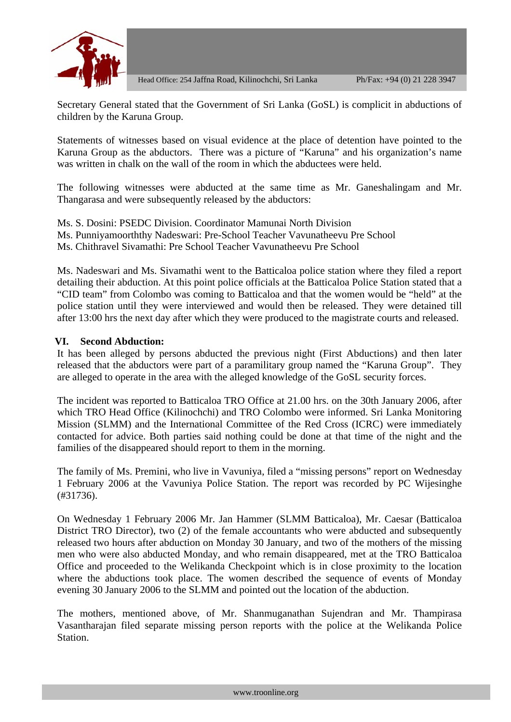

Secretary General stated that the Government of Sri Lanka (GoSL) is complicit in abductions of children by the Karuna Group.

Statements of witnesses based on visual evidence at the place of detention have pointed to the Karuna Group as the abductors. There was a picture of "Karuna" and his organization's name was written in chalk on the wall of the room in which the abductees were held.

The following witnesses were abducted at the same time as Mr. Ganeshalingam and Mr. Thangarasa and were subsequently released by the abductors:

Ms. S. Dosini: PSEDC Division. Coordinator Mamunai North Division Ms. Punniyamoorththy Nadeswari: Pre-School Teacher Vavunatheevu Pre School Ms. Chithravel Sivamathi: Pre School Teacher Vavunatheevu Pre School

Ms. Nadeswari and Ms. Sivamathi went to the Batticaloa police station where they filed a report detailing their abduction. At this point police officials at the Batticaloa Police Station stated that a "CID team" from Colombo was coming to Batticaloa and that the women would be "held" at the police station until they were interviewed and would then be released. They were detained till after 13:00 hrs the next day after which they were produced to the magistrate courts and released.

### **VI. Second Abduction:**

It has been alleged by persons abducted the previous night (First Abductions) and then later released that the abductors were part of a paramilitary group named the "Karuna Group". They are alleged to operate in the area with the alleged knowledge of the GoSL security forces.

The incident was reported to Batticaloa TRO Office at 21.00 hrs. on the 30th January 2006, after which TRO Head Office (Kilinochchi) and TRO Colombo were informed. Sri Lanka Monitoring Mission (SLMM) and the International Committee of the Red Cross (ICRC) were immediately contacted for advice. Both parties said nothing could be done at that time of the night and the families of the disappeared should report to them in the morning.

The family of Ms. Premini, who live in Vavuniya, filed a "missing persons" report on Wednesday 1 February 2006 at the Vavuniya Police Station. The report was recorded by PC Wijesinghe (#31736).

On Wednesday 1 February 2006 Mr. Jan Hammer (SLMM Batticaloa), Mr. Caesar (Batticaloa District TRO Director), two (2) of the female accountants who were abducted and subsequently released two hours after abduction on Monday 30 January, and two of the mothers of the missing men who were also abducted Monday, and who remain disappeared, met at the TRO Batticaloa Office and proceeded to the Welikanda Checkpoint which is in close proximity to the location where the abductions took place. The women described the sequence of events of Monday evening 30 January 2006 to the SLMM and pointed out the location of the abduction.

The mothers, mentioned above, of Mr. Shanmuganathan Sujendran and Mr. Thampirasa Vasantharajan filed separate missing person reports with the police at the Welikanda Police Station.